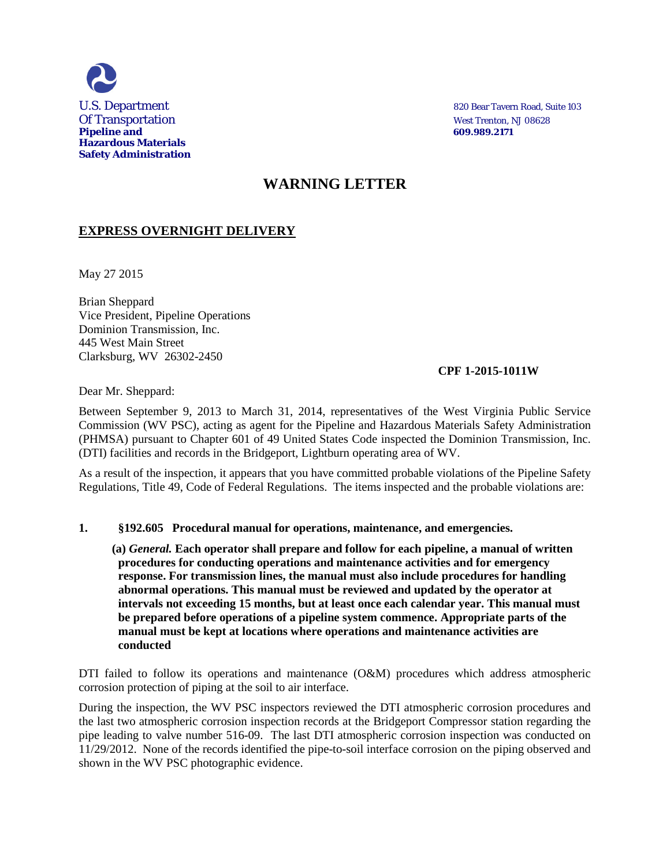

# **WARNING LETTER**

## **EXPRESS OVERNIGHT DELIVERY**

May 27 2015

Brian Sheppard Vice President, Pipeline Operations Dominion Transmission, Inc. 445 West Main Street Clarksburg, WV 26302-2450

#### **CPF 1-2015-1011W**

Dear Mr. Sheppard:

Between September 9, 2013 to March 31, 2014, representatives of the West Virginia Public Service Commission (WV PSC), acting as agent for the Pipeline and Hazardous Materials Safety Administration (PHMSA) pursuant to Chapter 601 of 49 United States Code inspected the Dominion Transmission, Inc. (DTI) facilities and records in the Bridgeport, Lightburn operating area of WV.

As a result of the inspection, it appears that you have committed probable violations of the Pipeline Safety Regulations, Title 49, Code of Federal Regulations. The items inspected and the probable violations are:

#### **1. §192.605 Procedural manual for operations, maintenance, and emergencies.**

 **(a)** *General.* **Each operator shall prepare and follow for each pipeline, a manual of written procedures for conducting operations and maintenance activities and for emergency response. For transmission lines, the manual must also include procedures for handling abnormal operations. This manual must be reviewed and updated by the operator at intervals not exceeding 15 months, but at least once each calendar year. This manual must be prepared before operations of a pipeline system commence. Appropriate parts of the manual must be kept at locations where operations and maintenance activities are conducted**

DTI failed to follow its operations and maintenance (O&M) procedures which address atmospheric corrosion protection of piping at the soil to air interface.

During the inspection, the WV PSC inspectors reviewed the DTI atmospheric corrosion procedures and the last two atmospheric corrosion inspection records at the Bridgeport Compressor station regarding the pipe leading to valve number 516-09. The last DTI atmospheric corrosion inspection was conducted on 11/29/2012. None of the records identified the pipe-to-soil interface corrosion on the piping observed and shown in the WV PSC photographic evidence.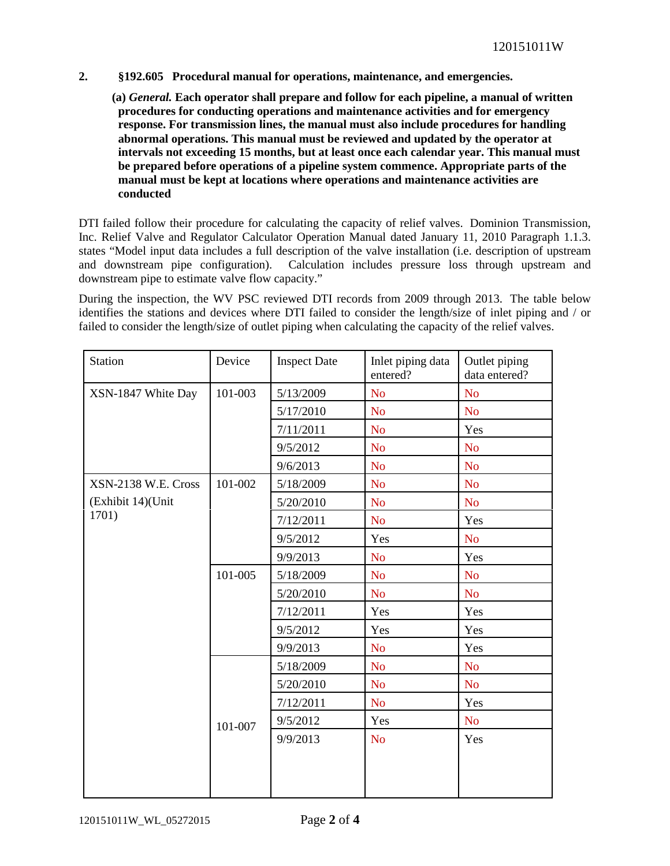#### **2. §192.605 Procedural manual for operations, maintenance, and emergencies.**

 **(a)** *General.* **Each operator shall prepare and follow for each pipeline, a manual of written procedures for conducting operations and maintenance activities and for emergency response. For transmission lines, the manual must also include procedures for handling abnormal operations. This manual must be reviewed and updated by the operator at intervals not exceeding 15 months, but at least once each calendar year. This manual must be prepared before operations of a pipeline system commence. Appropriate parts of the manual must be kept at locations where operations and maintenance activities are conducted**

DTI failed follow their procedure for calculating the capacity of relief valves. Dominion Transmission, Inc. Relief Valve and Regulator Calculator Operation Manual dated January 11, 2010 Paragraph 1.1.3. states "Model input data includes a full description of the valve installation (i.e. description of upstream and downstream pipe configuration). Calculation includes pressure loss through upstream and downstream pipe to estimate valve flow capacity."

During the inspection, the WV PSC reviewed DTI records from 2009 through 2013. The table below identifies the stations and devices where DTI failed to consider the length/size of inlet piping and / or failed to consider the length/size of outlet piping when calculating the capacity of the relief valves.

| <b>Station</b>                                    | Device  | <b>Inspect Date</b> | Inlet piping data<br>entered? | Outlet piping<br>data entered? |
|---------------------------------------------------|---------|---------------------|-------------------------------|--------------------------------|
| XSN-1847 White Day                                | 101-003 | 5/13/2009           | N <sub>o</sub>                | N <sub>o</sub>                 |
|                                                   |         | 5/17/2010           | N <sub>o</sub>                | N <sub>o</sub>                 |
|                                                   |         | 7/11/2011           | N <sub>o</sub>                | Yes                            |
|                                                   |         | 9/5/2012            | <b>No</b>                     | <b>No</b>                      |
|                                                   |         | 9/6/2013            | N <sub>o</sub>                | N <sub>o</sub>                 |
| XSN-2138 W.E. Cross<br>(Exhibit 14)(Unit<br>1701) | 101-002 | 5/18/2009           | N <sub>o</sub>                | N <sub>o</sub>                 |
|                                                   |         | 5/20/2010           | N <sub>o</sub>                | N <sub>o</sub>                 |
|                                                   |         | 7/12/2011           | N <sub>o</sub>                | Yes                            |
|                                                   |         | 9/5/2012            | Yes                           | N <sub>o</sub>                 |
|                                                   |         | 9/9/2013            | N <sub>o</sub>                | Yes                            |
|                                                   | 101-005 | 5/18/2009           | N <sub>o</sub>                | N <sub>o</sub>                 |
|                                                   |         | 5/20/2010           | N <sub>o</sub>                | N <sub>o</sub>                 |
|                                                   |         | 7/12/2011           | Yes                           | Yes                            |
|                                                   |         | 9/5/2012            | Yes                           | Yes                            |
|                                                   |         | 9/9/2013            | N <sub>o</sub>                | Yes                            |
|                                                   |         | 5/18/2009           | N <sub>o</sub>                | N <sub>o</sub>                 |
|                                                   |         | 5/20/2010           | N <sub>o</sub>                | N <sub>o</sub>                 |
|                                                   |         | 7/12/2011           | <b>No</b>                     | Yes                            |
|                                                   | 101-007 | 9/5/2012            | Yes                           | N <sub>o</sub>                 |
|                                                   |         | 9/9/2013            | N <sub>o</sub>                | Yes                            |
|                                                   |         |                     |                               |                                |
|                                                   |         |                     |                               |                                |
|                                                   |         |                     |                               |                                |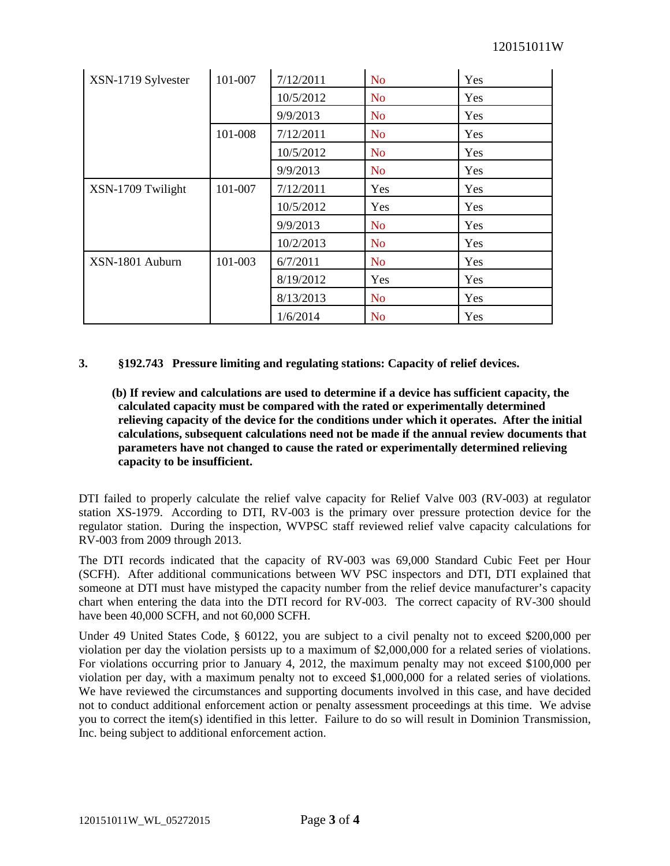| XSN-1719 Sylvester | 101-007 | 7/12/2011 | <b>No</b>      | Yes        |
|--------------------|---------|-----------|----------------|------------|
|                    |         | 10/5/2012 | N <sub>o</sub> | <b>Yes</b> |
|                    |         | 9/9/2013  | <b>No</b>      | Yes        |
|                    | 101-008 | 7/12/2011 | <b>No</b>      | Yes        |
|                    |         | 10/5/2012 | <b>No</b>      | <b>Yes</b> |
|                    |         | 9/9/2013  | <b>No</b>      | Yes        |
| XSN-1709 Twilight  | 101-007 | 7/12/2011 | Yes            | Yes        |
|                    |         | 10/5/2012 | Yes            | Yes        |
|                    |         | 9/9/2013  | <b>No</b>      | Yes        |
|                    |         | 10/2/2013 | N <sub>o</sub> | Yes        |
| XSN-1801 Auburn    | 101-003 | 6/7/2011  | <b>No</b>      | Yes        |
|                    |         | 8/19/2012 | Yes            | Yes        |
|                    |         | 8/13/2013 | <b>No</b>      | Yes        |
|                    |         | 1/6/2014  | <b>No</b>      | Yes        |

### **3. §192.743 Pressure limiting and regulating stations: Capacity of relief devices.**

 **(b) If review and calculations are used to determine if a device has sufficient capacity, the calculated capacity must be compared with the rated or experimentally determined relieving capacity of the device for the conditions under which it operates. After the initial calculations, subsequent calculations need not be made if the annual review documents that parameters have not changed to cause the rated or experimentally determined relieving capacity to be insufficient.**

DTI failed to properly calculate the relief valve capacity for Relief Valve 003 (RV-003) at regulator station XS-1979. According to DTI, RV-003 is the primary over pressure protection device for the regulator station. During the inspection, WVPSC staff reviewed relief valve capacity calculations for RV-003 from 2009 through 2013.

The DTI records indicated that the capacity of RV-003 was 69,000 Standard Cubic Feet per Hour (SCFH). After additional communications between WV PSC inspectors and DTI, DTI explained that someone at DTI must have mistyped the capacity number from the relief device manufacturer's capacity chart when entering the data into the DTI record for RV-003. The correct capacity of RV-300 should have been 40,000 SCFH, and not 60,000 SCFH.

Under 49 United States Code, § 60122, you are subject to a civil penalty not to exceed \$200,000 per violation per day the violation persists up to a maximum of \$2,000,000 for a related series of violations. For violations occurring prior to January 4, 2012, the maximum penalty may not exceed \$100,000 per violation per day, with a maximum penalty not to exceed \$1,000,000 for a related series of violations. We have reviewed the circumstances and supporting documents involved in this case, and have decided not to conduct additional enforcement action or penalty assessment proceedings at this time. We advise you to correct the item(s) identified in this letter. Failure to do so will result in Dominion Transmission, Inc. being subject to additional enforcement action.